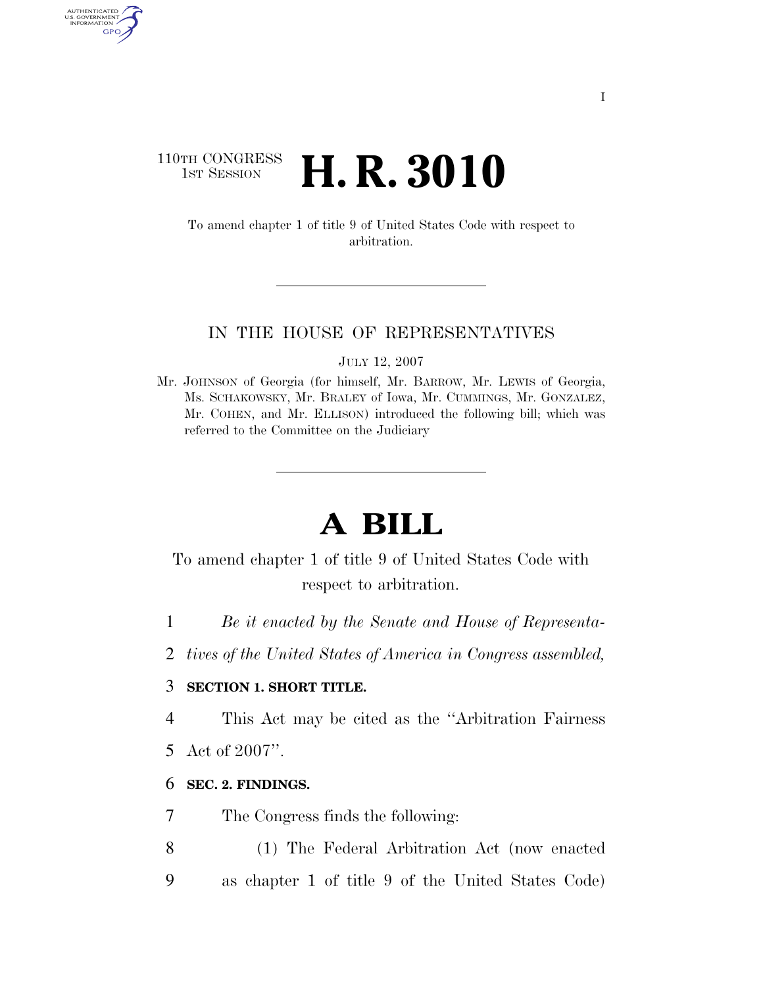## 110TH CONGRESS<br>1st Session H. R. 3010

AUTHENTICATED U.S. GOVERNMENT GPO

> To amend chapter 1 of title 9 of United States Code with respect to arbitration.

#### IN THE HOUSE OF REPRESENTATIVES

JULY 12, 2007

Mr. JOHNSON of Georgia (for himself, Mr. BARROW, Mr. LEWIS of Georgia, Ms. SCHAKOWSKY, Mr. BRALEY of Iowa, Mr. CUMMINGS, Mr. GONZALEZ, Mr. COHEN, and Mr. ELLISON) introduced the following bill; which was referred to the Committee on the Judiciary

# **A BILL**

## To amend chapter 1 of title 9 of United States Code with respect to arbitration.

- 1 *Be it enacted by the Senate and House of Representa-*
- 2 *tives of the United States of America in Congress assembled,*

### 3 **SECTION 1. SHORT TITLE.**

4 This Act may be cited as the ''Arbitration Fairness

5 Act of 2007''.

#### 6 **SEC. 2. FINDINGS.**

- 7 The Congress finds the following:
- 8 (1) The Federal Arbitration Act (now enacted 9 as chapter 1 of title 9 of the United States Code)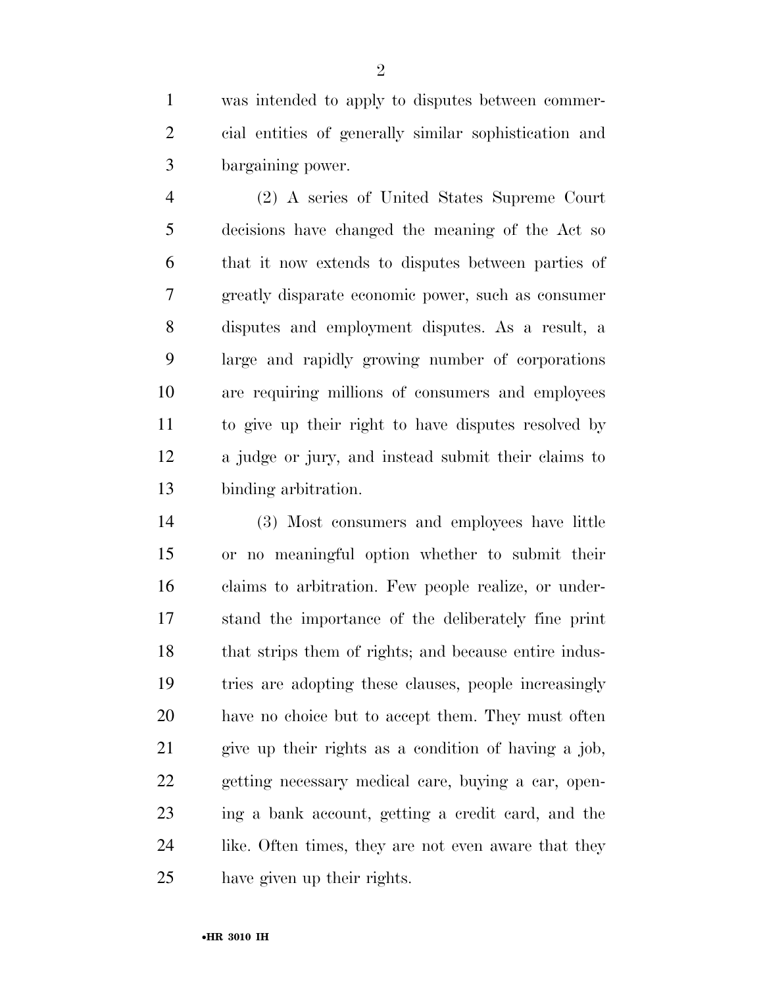was intended to apply to disputes between commer- cial entities of generally similar sophistication and bargaining power.

 (2) A series of United States Supreme Court decisions have changed the meaning of the Act so that it now extends to disputes between parties of greatly disparate economic power, such as consumer disputes and employment disputes. As a result, a large and rapidly growing number of corporations are requiring millions of consumers and employees to give up their right to have disputes resolved by a judge or jury, and instead submit their claims to binding arbitration.

 (3) Most consumers and employees have little or no meaningful option whether to submit their claims to arbitration. Few people realize, or under- stand the importance of the deliberately fine print 18 that strips them of rights; and because entire indus- tries are adopting these clauses, people increasingly have no choice but to accept them. They must often give up their rights as a condition of having a job, getting necessary medical care, buying a car, open- ing a bank account, getting a credit card, and the 24 like. Often times, they are not even aware that they have given up their rights.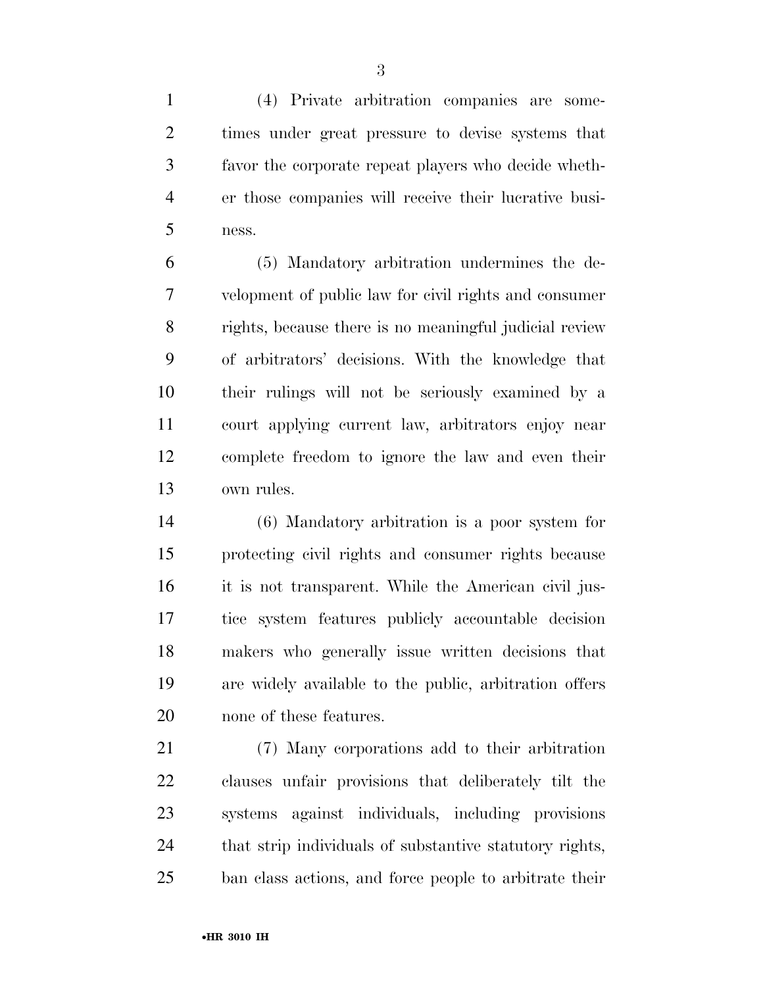(4) Private arbitration companies are some- times under great pressure to devise systems that favor the corporate repeat players who decide wheth- er those companies will receive their lucrative busi-ness.

 (5) Mandatory arbitration undermines the de- velopment of public law for civil rights and consumer rights, because there is no meaningful judicial review of arbitrators' decisions. With the knowledge that their rulings will not be seriously examined by a court applying current law, arbitrators enjoy near complete freedom to ignore the law and even their own rules.

 (6) Mandatory arbitration is a poor system for protecting civil rights and consumer rights because it is not transparent. While the American civil jus- tice system features publicly accountable decision makers who generally issue written decisions that are widely available to the public, arbitration offers none of these features.

 (7) Many corporations add to their arbitration clauses unfair provisions that deliberately tilt the systems against individuals, including provisions that strip individuals of substantive statutory rights, ban class actions, and force people to arbitrate their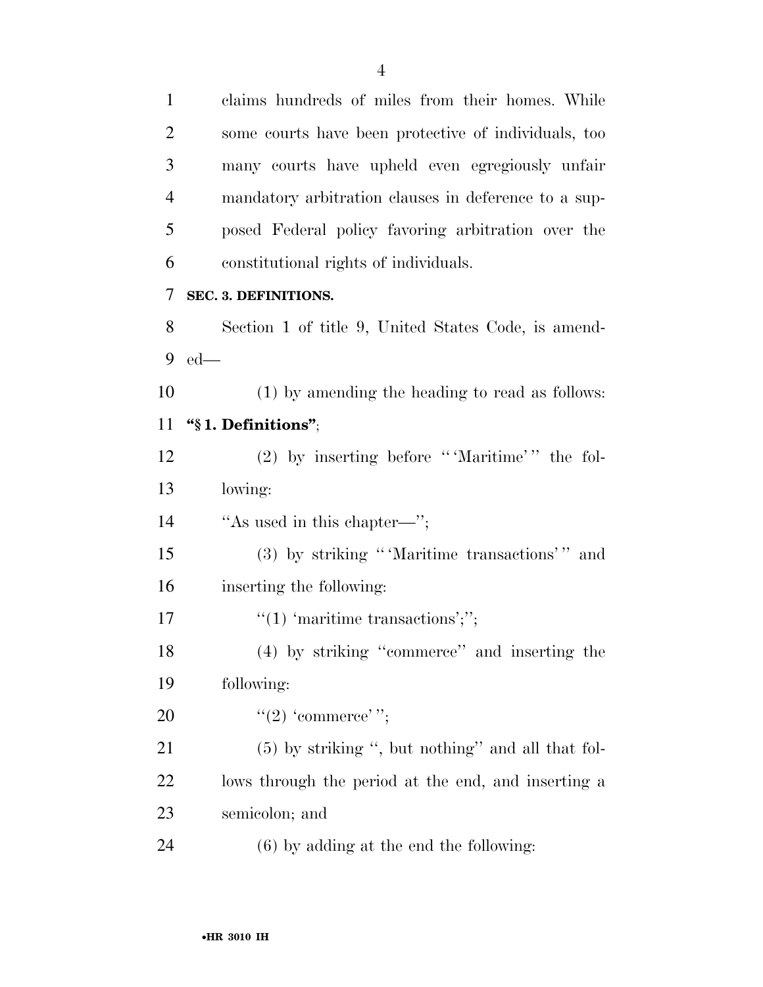claims hundreds of miles from their homes. While some courts have been protective of individuals, too many courts have upheld even egregiously unfair mandatory arbitration clauses in deference to a sup- posed Federal policy favoring arbitration over the constitutional rights of individuals. **SEC. 3. DEFINITIONS.**  Section 1 of title 9, United States Code, is amend- ed— (1) by amending the heading to read as follows: **''§ 1. Definitions''**; 12 (2) by inserting before "Maritime'" the fol- lowing: 14 "As used in this chapter—"; 15 (3) by striking "'Maritime transactions'" and inserting the following:  $\text{``(1) 'martime transactions';''};$  (4) by striking ''commerce'' and inserting the following:  $((2)$  'commerce'"; (5) by striking '', but nothing'' and all that fol- lows through the period at the end, and inserting a semicolon; and (6) by adding at the end the following: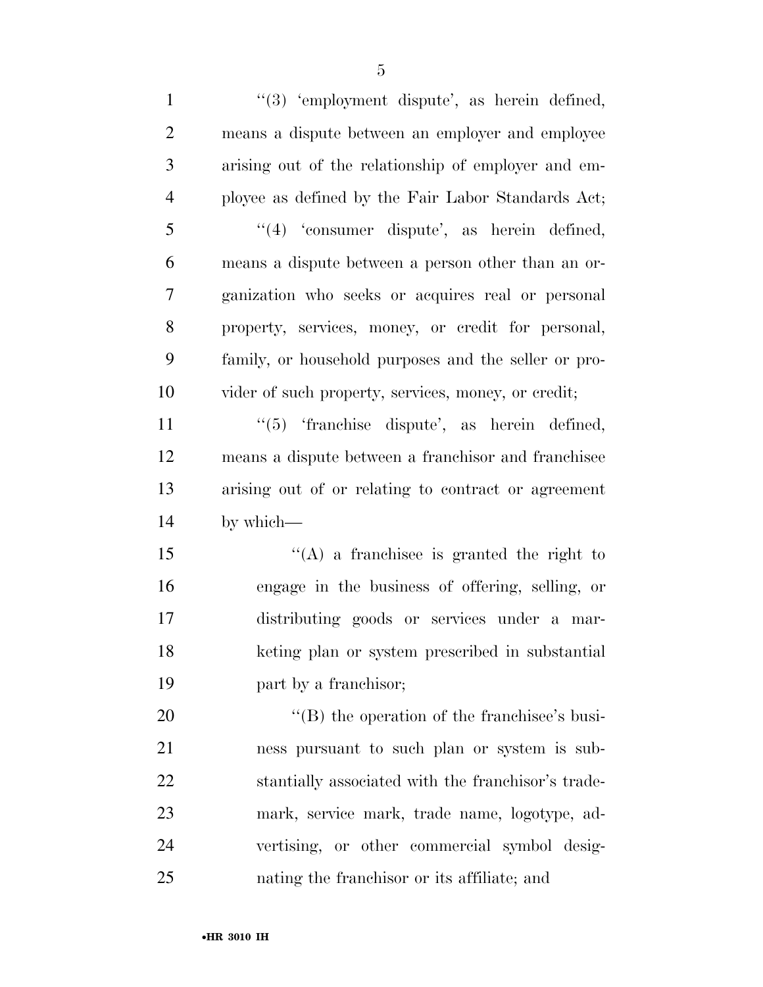1 ''(3) 'employment dispute', as herein defined, means a dispute between an employer and employee arising out of the relationship of employer and em- ployee as defined by the Fair Labor Standards Act; ''(4) 'consumer dispute', as herein defined, means a dispute between a person other than an or- ganization who seeks or acquires real or personal property, services, money, or credit for personal, family, or household purposes and the seller or pro- vider of such property, services, money, or credit; 11 ''(5) 'franchise dispute', as herein defined, means a dispute between a franchisor and franchisee arising out of or relating to contract or agreement by which— ''(A) a franchisee is granted the right to engage in the business of offering, selling, or distributing goods or services under a mar- keting plan or system prescribed in substantial part by a franchisor;  $\langle (B)$  the operation of the franchisee's busi- ness pursuant to such plan or system is sub- stantially associated with the franchisor's trade- mark, service mark, trade name, logotype, ad- vertising, or other commercial symbol desig-nating the franchisor or its affiliate; and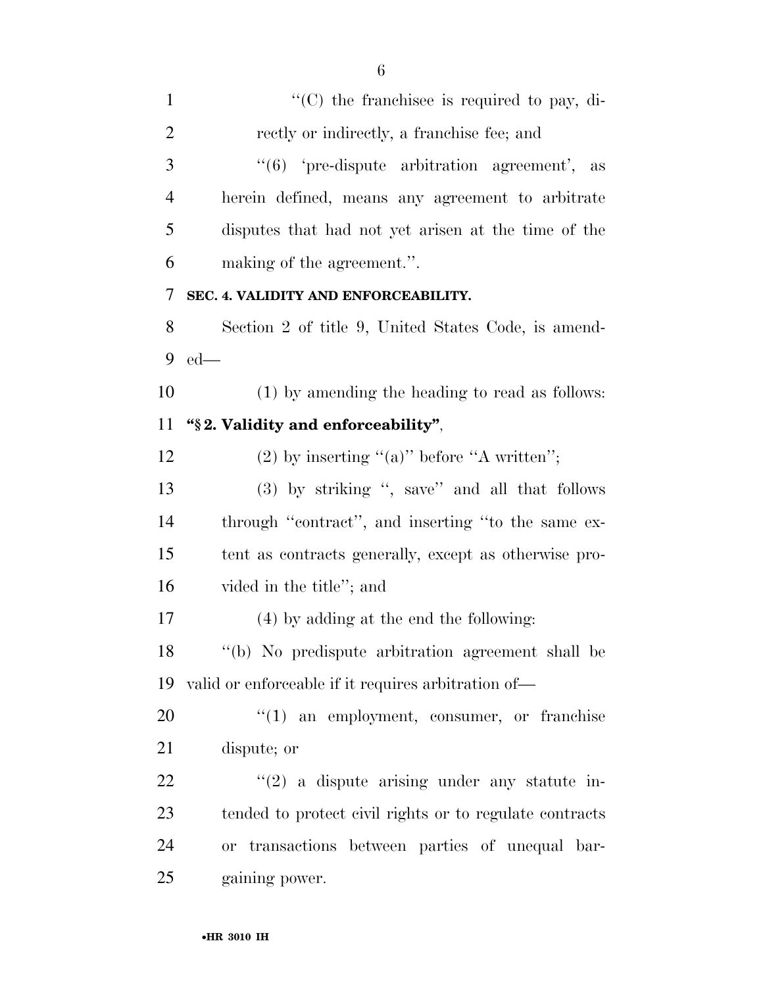| $\mathbf{1}$   | $\lq\lq$ (C) the franchisee is required to pay, di-     |
|----------------|---------------------------------------------------------|
| $\overline{2}$ | rectly or indirectly, a franchise fee; and              |
| 3              | " $(6)$ 'pre-dispute arbitration agreement', as         |
| $\overline{4}$ | herein defined, means any agreement to arbitrate        |
| 5              | disputes that had not yet arisen at the time of the     |
| 6              | making of the agreement.".                              |
| 7              | SEC. 4. VALIDITY AND ENFORCEABILITY.                    |
| 8              | Section 2 of title 9, United States Code, is amend-     |
| 9              | $ed$ —                                                  |
| 10             | (1) by amending the heading to read as follows:         |
| 11             | "§2. Validity and enforceability",                      |
| 12             | (2) by inserting "(a)" before "A written";              |
| 13             | (3) by striking ", save" and all that follows           |
| 14             | through "contract", and inserting "to the same ex-      |
| 15             | tent as contracts generally, except as otherwise pro-   |
| 16             | vided in the title"; and                                |
| 17             | (4) by adding at the end the following:                 |
| 18             | "(b) No predispute arbitration agreement shall be       |
| 19             | valid or enforceable if it requires arbitration of—     |
| 20             | $\lq(1)$ an employment, consumer, or franchise          |
| 21             | dispute; or                                             |
| 22             | $\lq(2)$ a dispute arising under any statute in-        |
| 23             | tended to protect civil rights or to regulate contracts |
| 24             | or transactions between parties of unequal bar-         |
| 25             | gaining power.                                          |